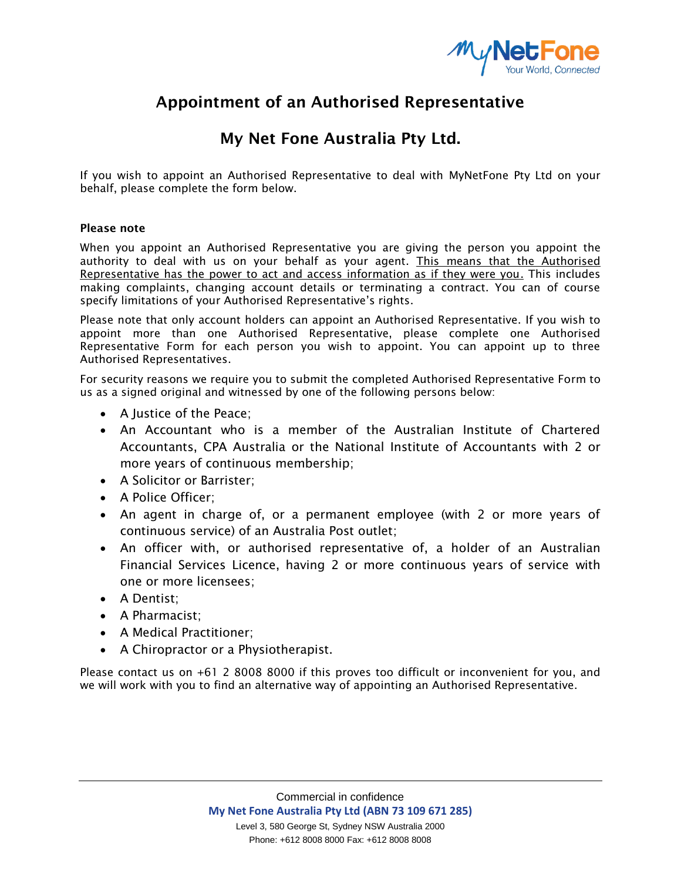

## **Appointment of an Authorised Representative**

### **My Net Fone Australia Pty Ltd.**

If you wish to appoint an Authorised Representative to deal with MyNetFone Pty Ltd on your behalf, please complete the form below.

### **Please note**

When you appoint an Authorised Representative you are giving the person you appoint the authority to deal with us on your behalf as your agent. This means that the Authorised Representative has the power to act and access information as if they were you. This includes making complaints, changing account details or terminating a contract. You can of course specify limitations of your Authorised Representative's rights.

Please note that only account holders can appoint an Authorised Representative. If you wish to appoint more than one Authorised Representative, please complete one Authorised Representative Form for each person you wish to appoint. You can appoint up to three Authorised Representatives.

For security reasons we require you to submit the completed Authorised Representative Form to us as a signed original and witnessed by one of the following persons below:

- A Justice of the Peace;
- An Accountant who is a member of the Australian Institute of Chartered Accountants, CPA Australia or the National Institute of Accountants with 2 or more years of continuous membership;
- A Solicitor or Barrister;
- A Police Officer;
- An agent in charge of, or a permanent employee (with 2 or more years of continuous service) of an Australia Post outlet;
- An officer with, or authorised representative of, a holder of an Australian Financial Services Licence, having 2 or more continuous years of service with one or more licensees;
- A Dentist:
- A Pharmacist:
- A Medical Practitioner:
- A Chiropractor or a Physiotherapist.

Please contact us on +61 2 8008 8000 if this proves too difficult or inconvenient for you, and we will work with you to find an alternative way of appointing an Authorised Representative.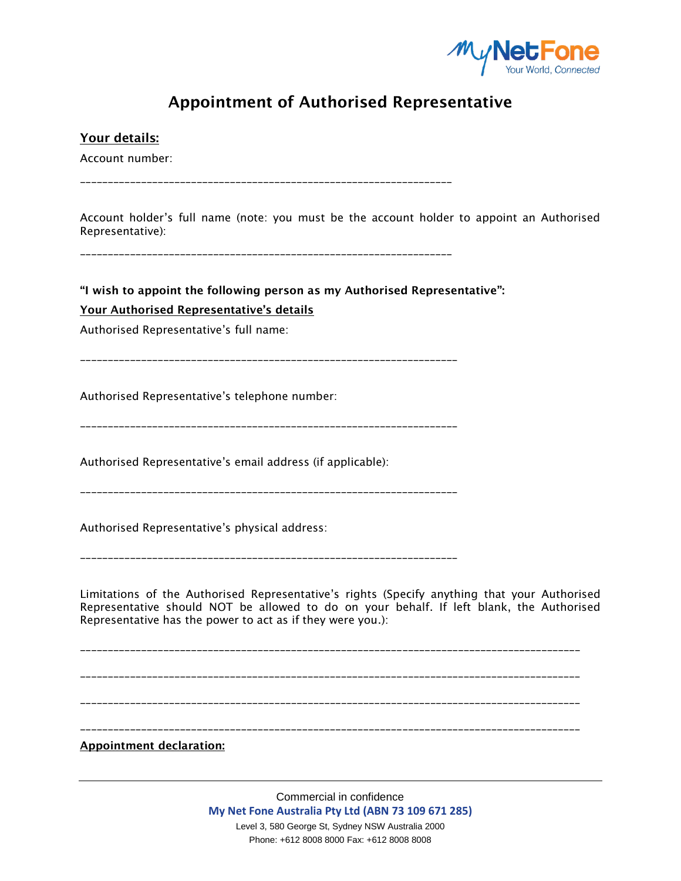

# **Appointment of Authorised Representative**

**Your details:** Account number: \_\_\_\_\_\_\_\_\_\_\_\_\_\_\_\_\_\_\_\_\_\_\_\_\_\_\_\_\_\_\_\_\_\_\_\_\_\_\_\_\_\_\_\_\_\_\_\_\_\_\_\_\_\_\_\_\_\_\_\_\_\_\_\_\_\_\_ Account holder's full name (note: you must be the account holder to appoint an Authorised Representative): \_\_\_\_\_\_\_\_\_\_\_\_\_\_\_\_\_\_\_\_\_\_\_\_\_\_\_\_\_\_\_\_\_\_\_\_\_\_\_\_\_\_\_\_\_\_\_\_\_\_\_\_\_\_\_\_\_\_\_\_\_\_\_\_\_\_\_ **"I wish to appoint the following person as my Authorised Representative": Your Authorised Representative's details** Authorised Representative's full name: Authorised Representative's telephone number: \_\_\_\_\_\_\_\_\_\_\_\_\_\_\_\_\_\_\_\_\_\_\_\_\_\_\_\_\_\_\_\_\_\_\_\_\_\_\_\_\_\_\_\_\_\_\_\_\_\_\_\_\_\_\_\_\_\_\_\_\_\_\_\_\_\_\_\_ Authorised Representative's email address (if applicable): \_\_\_\_\_\_\_\_\_\_\_\_\_\_\_\_\_\_\_\_\_\_\_\_\_\_\_\_\_\_\_\_\_\_\_\_\_\_\_\_\_\_\_\_\_\_\_\_\_\_\_\_\_\_\_\_\_\_\_\_\_\_\_\_\_\_\_\_ Authorised Representative's physical address: \_\_\_\_\_\_\_\_\_\_\_\_\_\_\_\_\_\_\_\_\_\_\_\_\_\_\_\_\_\_\_\_\_\_\_\_\_\_\_\_\_\_\_\_\_\_\_\_\_\_\_\_\_\_\_\_\_\_\_\_\_\_\_\_\_\_\_\_ Limitations of the Authorised Representative's rights (Specify anything that your Authorised Representative should NOT be allowed to do on your behalf. If left blank, the Authorised Representative has the power to act as if they were you.): \_\_\_\_\_\_\_\_\_\_\_\_\_\_\_\_\_\_\_\_\_\_\_\_\_\_\_\_\_\_\_\_\_\_\_\_\_\_\_\_\_\_\_\_\_\_\_\_\_\_\_\_\_\_\_\_\_\_\_\_\_\_\_\_\_\_\_\_\_\_\_\_\_\_\_\_\_\_\_\_\_\_\_\_\_\_\_\_\_\_ \_\_\_\_\_\_\_\_\_\_\_\_\_\_\_\_\_\_\_\_\_\_\_\_\_\_\_\_\_\_\_\_\_\_\_\_\_\_\_\_\_\_\_\_\_\_\_\_\_\_\_\_\_\_\_\_\_\_\_\_\_\_\_\_\_\_\_\_\_\_\_\_\_\_\_\_\_\_\_\_\_\_\_\_\_\_\_\_\_\_ \_\_\_\_\_\_\_\_\_\_\_\_\_\_\_\_\_\_\_\_\_\_\_\_\_\_\_\_\_\_\_\_\_\_\_\_\_\_\_\_\_\_\_\_\_\_\_\_\_\_\_\_\_\_\_\_\_\_\_\_\_\_\_\_\_\_\_\_\_\_\_\_\_\_\_\_\_\_\_\_\_\_\_\_\_\_\_\_\_\_ \_\_\_\_\_\_\_\_\_\_\_\_\_\_\_\_\_\_\_\_\_\_\_\_\_\_\_\_\_\_\_\_\_\_\_\_\_\_\_\_\_\_\_\_\_\_\_\_\_\_\_\_\_\_\_\_\_\_\_\_\_\_\_\_\_\_\_\_\_\_\_\_\_\_\_\_\_\_\_\_\_\_\_\_\_\_\_\_\_\_ **Appointment declaration:**

> Commercial in confidence **My Net Fone Australia Pty Ltd (ABN 73 109 671 285)** Level 3, 580 George St, Sydney NSW Australia 2000 Phone: +612 8008 8000 Fax: +612 8008 8008